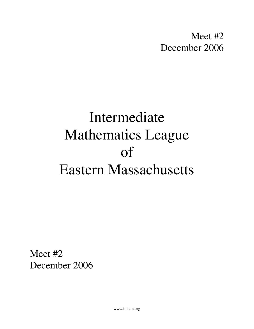Meet #2 December 2006

# Intermediate Mathematics League of Eastern Massachusetts

Meet #2 December 2006

www.imlem.org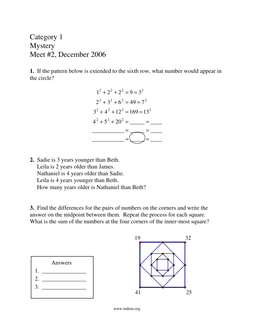Category 1 **Mystery** Meet #2, December 2006

**1.** If the pattern below is extended to the sixth row, what number would appear in the circle?



**2.** Sadie is 3 years younger than Beth. Leila is 2 years older than James. Nathaniel is 4 years older than Sadie. Leila is 4 years younger than Beth. How many years older is Nathaniel than Beth?

**3.** Find the differences for the pairs of numbers on the corners and write the answer on the midpoint between them. Repeat the process for each square. What is the sum of the numbers at the four corners of the inner-most square?





www.imlem.org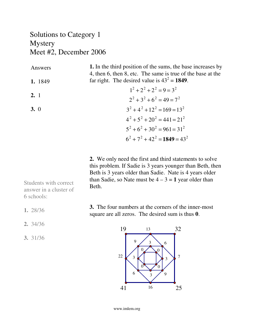#### Solutions to Category 1 Mystery Meet #2, December 2006

| Answers | 1. In the third position of the sums, the base increases by<br>4, then 6, then 8, etc. The same is true of the base at the |
|---------|----------------------------------------------------------------------------------------------------------------------------|
| 1. 1849 | far right. The desired value is $43^2 = 1849$ .                                                                            |
|         | $1^2 + 2^2 + 2^2 = 9 = 3^2$                                                                                                |
| 2.1     | $2^2 + 3^2 + 6^2 = 49 = 7^2$                                                                                               |
| 3.0     | $3^2 + 4^2 + 12^2 = 169 = 13^2$                                                                                            |
|         | $4^2 + 5^2 + 20^2 = 441 = 21^2$                                                                                            |
|         | $5^2 + 6^2 + 30^2 = 961 = 31^2$                                                                                            |
|         | $6^2 + 7^2 + 42^2 = 1849 = 43^2$                                                                                           |

**2.** We only need the first and third statements to solve this problem. If Sadie is 3 years younger than Beth, then Beth is 3 years older than Sadie. Nate is 4 years older than Sadie, so Nate must be  $4 - 3 = 1$  year older than Beth.

**3.** The four numbers at the corners of the inner-most square are all zeros. The desired sum is thus **0**.



Students with correct answer in a cluster of 6 schools:

- **1.** 28/36
- **2.** 34/36
- **3.** 31/36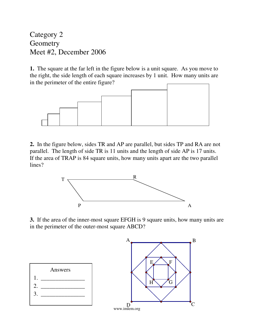Category 2 **Geometry** Meet #2, December 2006

**1.** The square at the far left in the figure below is a unit square. As you move to the right, the side length of each square increases by 1 unit. How many units are in the perimeter of the entire figure?



**2.** In the figure below, sides TR and AP are parallel, but sides TP and RA are not parallel. The length of side TR is 11 units and the length of side AP is 17 units. If the area of TRAP is 84 square units, how many units apart are the two parallel lines?



**3.** If the area of the inner-most square EFGH is 9 square units, how many units are in the perimeter of the outer-most square ABCD?

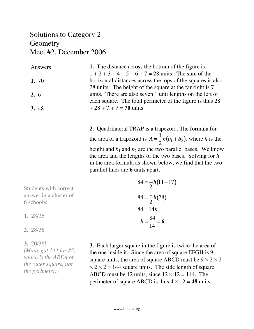#### Solutions to Category 2 **Geometry** Meet #2, December 2006

| Answers      | 1. The distance across the bottom of the figure is          |
|--------------|-------------------------------------------------------------|
|              | $1 + 2 + 3 + 4 + 5 + 6 + 7 = 28$ units. The sum of the      |
| 1. 70        | horizontal distances across the tops of the squares is also |
|              | 28 units. The height of the square at the far right is 7    |
| 2.6          | units. There are also seven 1 unit lengths on the left of   |
|              | each square. The total perimeter of the figure is thus 28   |
| <b>3.</b> 48 | $+28 + 7 + 7 = 70$ units.                                   |

**2.** Quadrilateral TRAP is a trapezoid. The formula for the area of a trapezoid is  $A =$ 1 2  $h(b_1 + b_2)$ , where *h* is the height and  $b_1$  and  $b_2$  are the two parallel bases. We know the area and the lengths of the two bases. Solving for *h* in the area formula as shown below, we find that the two parallel lines are **6** units apart.

 $84 =$ 

1 2

1

*h*(11+17)

Students with correct answer in a cluster of 6 schools:

**1.** 28/36

#### **2.** 28/36

**3.** 20/36!

*(Many got 144 for #3, which is the AREA of the outer square, not the perimeter.)*

 $84 =$ 2 *h*(28)  $84 = 14h$ *h* = 84 14 = **6 3.** Each larger square in the figure is twice the area of the one inside it. Since the area of square EFGH is 9 square units, the area of square ABCD must be  $9 \times 2 \times 2$ 

 $\times$  2  $\times$  2 = 144 square units. The side length of square ABCD must be 12 units, since  $12 \times 12 = 144$ . The perimeter of square ABCD is thus  $4 \times 12 = 48$  units.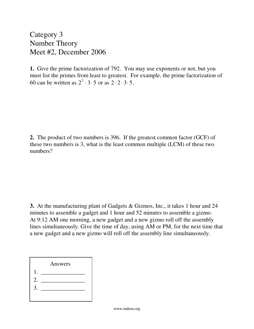Category 3 Number Theory Meet #2, December 2006

**1.** Give the prime factorization of 792. You may use exponents or not, but you must list the primes from least to greatest. For example, the prime factorization of 60 can be written as  $2^2 \cdot 3 \cdot 5$  or as  $2 \cdot 2 \cdot 3 \cdot 5$ .

**2.** The product of two numbers is 396. If the greatest common factor (GCF) of these two numbers is 3, what is the least common multiple (LCM) of these two numbers?

**3.** At the manufacturing plant of Gadgets & Gizmos, Inc., it takes 1 hour and 24 minutes to assemble a gadget and 1 hour and 52 minutes to assemble a gizmo. At 9:12 AM one morning, a new gadget and a new gizmo roll off the assembly lines simultaneously. Give the time of day, using AM or PM, for the next time that a new gadget and a new gizmo will roll off the assembly line simultaneously.

|    | Answers |  |
|----|---------|--|
|    |         |  |
| 2. |         |  |
| 3. |         |  |
|    |         |  |
|    |         |  |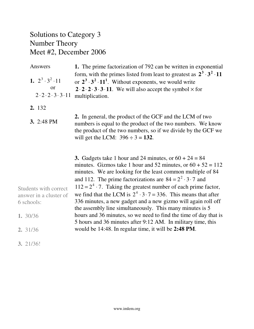# Solutions to Category 3 Number Theory Meet #2, December 2006

| Answers                                      | 1. The prime factorization of 792 can be written in exponential                                                                                                                                                                                                                                                                            |
|----------------------------------------------|--------------------------------------------------------------------------------------------------------------------------------------------------------------------------------------------------------------------------------------------------------------------------------------------------------------------------------------------|
| 1. $2^3 \cdot 3^2 \cdot 11$<br><b>or</b>     | form, with the primes listed from least to greatest as $2^3 \cdot 3^2 \cdot 11$<br>or $2^3 \tcdot 3^2 \tcdot 11^1$ . Without exponents, we would write<br>$2 \cdot 2 \cdot 2 \cdot 3 \cdot 3 \cdot 11$ . We will also accept the symbol $\times$ for                                                                                       |
| $2 \cdot 2 \cdot 2 \cdot 3 \cdot 3 \cdot 11$ | multiplication.                                                                                                                                                                                                                                                                                                                            |
| 2. 132                                       |                                                                                                                                                                                                                                                                                                                                            |
| <b>3.</b> 2:48 PM                            | 2. In general, the product of the GCF and the LCM of two<br>numbers is equal to the product of the two numbers. We know<br>the product of the two numbers, so if we divide by the GCF we<br>will get the LCM: $396 \div 3 = 132$ .                                                                                                         |
|                                              |                                                                                                                                                                                                                                                                                                                                            |
| Students with correct                        | 3. Gadgets take 1 hour and 24 minutes, or $60 + 24 = 84$<br>minutes. Gizmos take 1 hour and 52 minutes, or $60 + 52 = 112$<br>minutes. We are looking for the least common multiple of 84<br>and 112. The prime factorizations are $84 = 2^2 \cdot 3 \cdot 7$ and<br>$112 = 24 \cdot 7$ . Taking the greatest number of each prime factor, |
| answer in a cluster of                       | we find that the LCM is $2^4 \cdot 3 \cdot 7 = 336$ . This means that after                                                                                                                                                                                                                                                                |
| 6 schools:                                   | 336 minutes, a new gadget and a new gizmo will again roll off<br>the assembly line simultaneously. This many minutes is 5                                                                                                                                                                                                                  |
| 1. 30/36                                     | hours and 36 minutes, so we need to find the time of day that is<br>5 hours and 36 minutes after 9:12 AM. In military time, this                                                                                                                                                                                                           |
| 2. 31/36                                     | would be 14:48. In regular time, it will be 2:48 PM.                                                                                                                                                                                                                                                                                       |
| 3.21/36!                                     |                                                                                                                                                                                                                                                                                                                                            |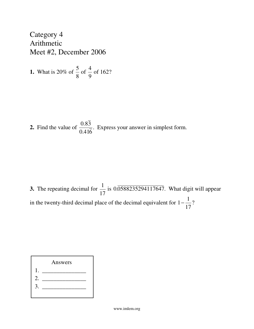Category 4 Arithmetic Meet #2, December 2006

1. What is 20% of 
$$
\frac{5}{8}
$$
 of  $\frac{4}{9}$  of 162?

**2.** Find the value of 0.83 0.416 . Express your answer in simplest form.

**3.** The repeating decimal for 1 17 is 0.0588235294117647. What digit will appear in the twenty-third decimal place of the decimal equivalent for 1− 1 17 ?

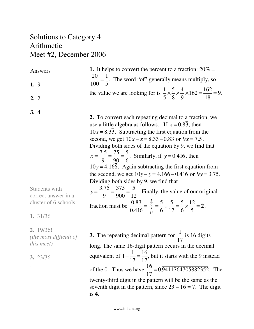# Solutions to Category 4 Arithmetic Meet #2, December 2006

| Answers<br>1.9                                                                   | 1. It helps to convert the percent to a fraction: $20\%$ =<br>$\frac{20}{100} = \frac{1}{5}$ . The word "of" generally means multiply, so                                                                                                                                                                                                                                                                                                                                                                                                                                                                                                                                                                                                                                                                                 |
|----------------------------------------------------------------------------------|---------------------------------------------------------------------------------------------------------------------------------------------------------------------------------------------------------------------------------------------------------------------------------------------------------------------------------------------------------------------------------------------------------------------------------------------------------------------------------------------------------------------------------------------------------------------------------------------------------------------------------------------------------------------------------------------------------------------------------------------------------------------------------------------------------------------------|
| 2.2                                                                              | the value we are looking for is $\frac{1}{5} \times \frac{5}{8} \times \frac{4}{9} \times 162 = \frac{162}{18} = 9$ .                                                                                                                                                                                                                                                                                                                                                                                                                                                                                                                                                                                                                                                                                                     |
| 3.4<br>Students with<br>correct answer in a<br>cluster of 6 schools:<br>1. 31/36 | 2. To convert each repeating decimal to a fraction, we<br>use a little algebra as follows. If $x = 0.83$ , then<br>$10x = 8.33$ . Subtracting the first equation from the<br>second, we get $10x - x = 8.33 - 0.83$ or $9x = 7.5$ .<br>Dividing both sides of the equation by 9, we find that<br>$x = \frac{7.5}{9} = \frac{75}{90} = \frac{5}{6}$ . Similarly, if $y = 0.41\overline{6}$ , then<br>$10y = 4.166$ . Again subtracting the first equation from<br>the second, we get $10y - y = 4.166 - 0.416$ or $9y = 3.75$ .<br>Dividing both sides by 9, we find that<br>$y = \frac{3.75}{9} = \frac{375}{900} = \frac{5}{12}$ . Finally, the value of our original<br>fraction must be $\frac{0.83}{0.416} = \frac{\frac{5}{6}}{\frac{5}{2}} = \frac{5}{6} \div \frac{5}{12} = \frac{5}{6} \times \frac{12}{5} = 2$ . |
| 2. 19/36!<br>(the most difficult of<br><i>this meet</i> )<br>3.23/36             | 3. The repeating decimal pattern for $\frac{1}{17}$ is 16 digits<br>long. The same 16-digit pattern occurs in the decimal<br>equivalent of $1 - \frac{1}{17} = \frac{16}{17}$ , but it starts with the 9 instead<br>of the 0. Thus we have $\frac{16}{17} = 0.9411764705882352$ . The<br>twenty-third digit in the pattern will be the same as the<br>seventh digit in the pattern, since $23 - 16 = 7$ . The digit<br>is $4$ .                                                                                                                                                                                                                                                                                                                                                                                           |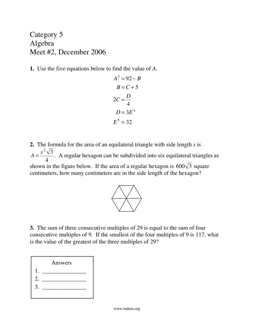Category 5 Algebra Meet #2, December 2006

**1.** Use the five equations below to find the value of *A*.

$$
A2 = 92 - B
$$
  
\n
$$
B = C + 5
$$
  
\n
$$
2C = \frac{D}{4}
$$
  
\n
$$
D = 3E4
$$
  
\n
$$
E5 = 32
$$

**2.** The formula for the area of an equilateral triangle with side length *s* is  $A =$  $s^2\sqrt{3}$ 4 . A regular hexagon can be subdivided into six equilateral triangles as shown in the figure below. If the area of a regular hexagon is  $600\sqrt{3}$  square centimeters, how many centimeters are in the side length of the hexagon?



**3.** The sum of three consecutive multiples of 29 is equal to the sum of four consecutive multiples of 9. If the smallest of the four multiples of 9 is 117, what is the value of the greatest of the three multiples of 29?

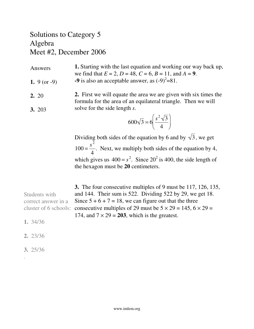### Solutions to Category 5 Algebra Meet #2, December 2006

| Answers        | <b>1.</b> Starting with the last equation and working our way back up, |
|----------------|------------------------------------------------------------------------|
|                | we find that $E = 2$ , $D = 48$ , $C = 6$ , $B = 11$ , and $A = 9$ .   |
| 1. $9 (or -9)$ | -9 is also an acceptable answer, as $(-9)^2$ =81.                      |

**2.** First we will equate the area we are given with six times the formula for the area of an equilateral triangle. Then we will solve for the side length *s*. **2.** 20 **3.** 203

$$
600\sqrt{3} = 6\left(\frac{s^2\sqrt{3}}{4}\right)
$$

Dividing both sides of the equation by 6 and by  $\sqrt{3}$ , we get  $100 =$ *s* 2 4 . Next, we multiply both sides of the equation by 4, which gives us  $400 = s^2$ . Since  $20^2$  is 400, the side length of the hexagon must be **20** centimeters.

**3.** The four consecutive multiples of 9 must be 117, 126, 135, and 144. Their sum is 522. Dividing 522 by 29, we get 18. Since  $5 + 6 + 7 = 18$ , we can figure out that the three consecutive multiples of 29 must be  $5 \times 29 = 145, 6 \times 29 = 145$ 174, and  $7 \times 29 = 203$ , which is the greatest. Students with correct answer in a cluster of 6 schools: **1.** 34/36

- **2.** 23/36
- **3.** 25/36

*.*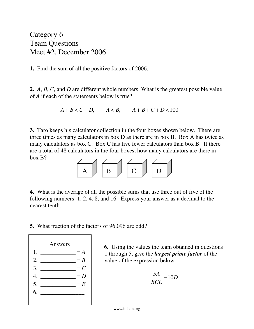Category 6 Team Questions Meet #2, December 2006

**1.** Find the sum of all the positive factors of 2006.

**2.** *A*, *B*, *C*, and *D* are different whole numbers. What is the greatest possible value of *A* if each of the statements below is true?

 $A + B < C + D$ ,  $A < B$ ,  $A + B + C + D < 100$ 

**3.** Taro keeps his calculator collection in the four boxes shown below. There are three times as many calculators in box D as there are in box B. Box A has twice as many calculators as box C. Box C has five fewer calculators than box B. If there are a total of 48 calculators in the four boxes, how many calculators are there in box B?



**4.** What is the average of all the possible sums that use three out of five of the following numbers: 1, 2, 4, 8, and 16. Express your answer as a decimal to the nearest tenth.

**5.** What fraction of the factors of 96,096 are odd?



**6.** Using the values the team obtained in questions 1 through 5, give the *largest prime factor* of the value of the expression below:

$$
\frac{5A}{BCE} - 10D
$$

www.imlem.org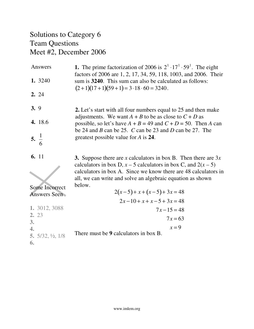# Solutions to Category 6 Team Questions Meet #2, December 2006

| Answers<br>1. 3240<br>2.24                                                | 1. The prime factorization of 2006 is $2^1 \tcdot 17^1 \tcdot 59^1$ . The eight<br>factors of 2006 are 1, 2, 17, 34, 59, 118, 1003, and 2006. Their<br>sum is 3240. This sum can also be calculated as follows:<br>$(2+1)(17+1)(59+1) = 3 \cdot 18 \cdot 60 = 3240.$                                                                              |
|---------------------------------------------------------------------------|---------------------------------------------------------------------------------------------------------------------------------------------------------------------------------------------------------------------------------------------------------------------------------------------------------------------------------------------------|
| 3.9<br>4. 18.6<br>5. $\frac{1}{6}$                                        | <b>2.</b> Let's start with all four numbers equal to 25 and then make<br>adjustments. We want $A + B$ to be as close to $C + D$ as<br>possible, so let's have $A + B = 49$ and $C + D = 50$ . Then A can<br>be 24 and B can be 25. C can be 23 and D can be 27. The<br>greatest possible value for A is 24.                                       |
| 6. 11<br>Some Incorrect<br><b>Answers Seen</b>                            | <b>3.</b> Suppose there are x calculators in box B. Then there are $3x$<br>calculators in box D, $x - 5$ calculators in box C, and $2(x - 5)$<br>calculators in box A. Since we know there are 48 calculators in<br>all, we can write and solve an algebraic equation as shown<br>below.<br>$2(x-5) + x + (x-5) + 3x = 48$<br>$2x-10+x+x-5+3x=48$ |
| 1. 3012, 3088<br>2. 23<br>3.<br>$\mathbf{4}$ .<br>5. 5/32, 1/2, 1/8<br>6. | $7x-15=48$<br>$7x = 63$<br>$x=9$<br>There must be 9 calculators in box B.                                                                                                                                                                                                                                                                         |